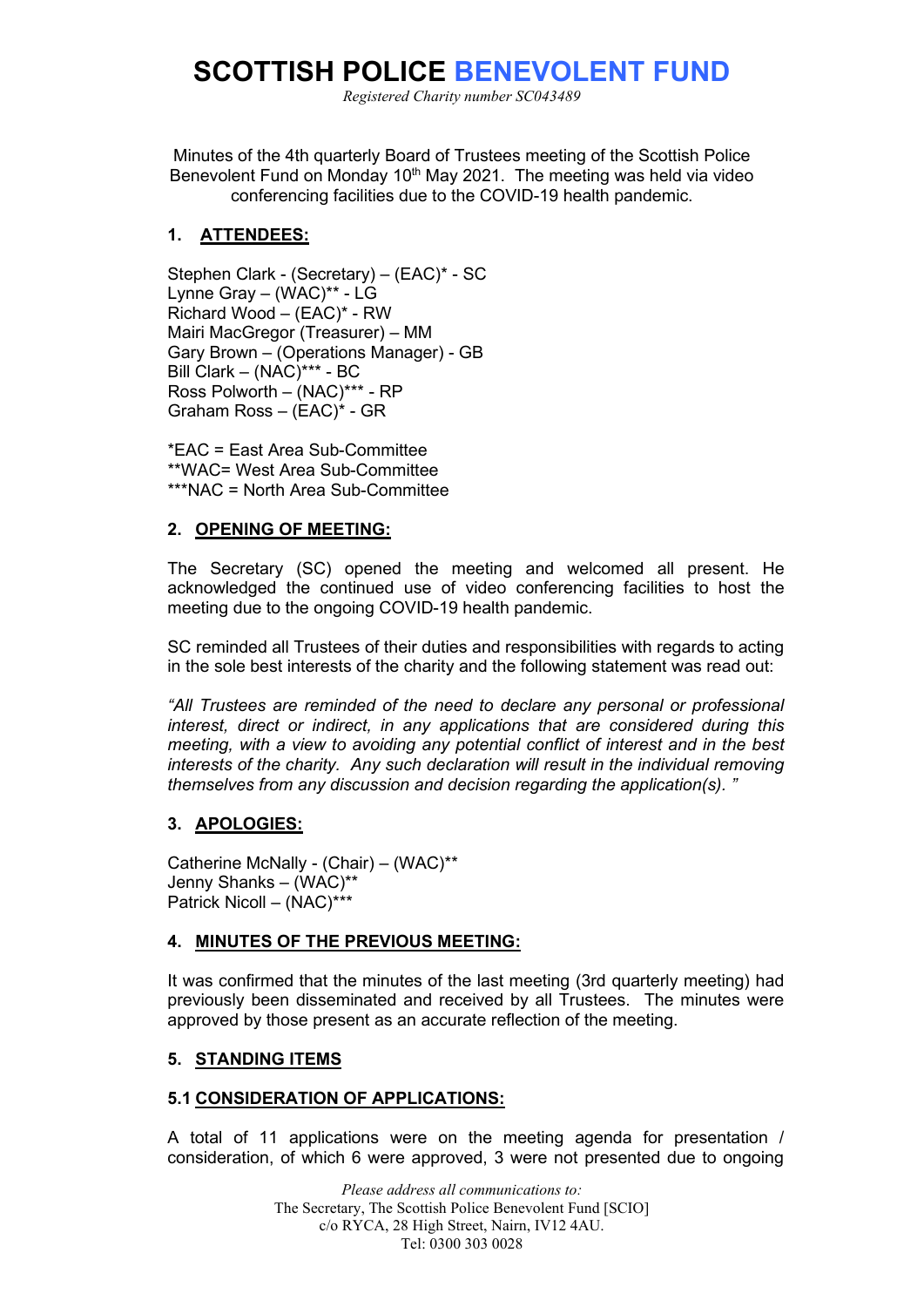# **SCOTTISH POLICE BENEVOLENT FUND**

*Registered Charity number SC043489*

Minutes of the 4th quarterly Board of Trustees meeting of the Scottish Police Benevolent Fund on Monday 10<sup>th</sup> May 2021. The meeting was held via video conferencing facilities due to the COVID-19 health pandemic.

# **1. ATTENDEES:**

Stephen Clark - (Secretary) – (EAC)\* - SC Lynne Gray – (WAC)\*\* - LG Richard Wood – (EAC)\* - RW Mairi MacGregor (Treasurer) – MM Gary Brown – (Operations Manager) - GB Bill Clark – (NAC)\*\*\* - BC Ross Polworth – (NAC)\*\*\* - RP Graham Ross – (EAC)\* - GR

\*EAC = East Area Sub-Committee \*\*WAC= West Area Sub-Committee \*\*\*NAC = North Area Sub-Committee

# **2. OPENING OF MEETING:**

The Secretary (SC) opened the meeting and welcomed all present. He acknowledged the continued use of video conferencing facilities to host the meeting due to the ongoing COVID-19 health pandemic.

SC reminded all Trustees of their duties and responsibilities with regards to acting in the sole best interests of the charity and the following statement was read out:

*All Trustees are reminded of the need to declare any personal or professional interest, direct or indirect, in any applications that are considered during this meeting, with a view to avoiding any potential conflict of interest and in the best interests of the charity. Any such declaration will result in the individual removing themselves from any discussion and decision regarding the application(s). "*

# **3. APOLOGIES:**

Catherine McNally - (Chair) – (WAC)\*\* Jenny Shanks – (WAC)\*\* Patrick Nicoll – (NAC)\*\*\*

## **4. MINUTES OF THE PREVIOUS MEETING:**

It was confirmed that the minutes of the last meeting (3rd quarterly meeting) had previously been disseminated and received by all Trustees. The minutes were approved by those present as an accurate reflection of the meeting.

## **5. STANDING ITEMS**

## **5.1 CONSIDERATION OF APPLICATIONS:**

A total of 11 applications were on the meeting agenda for presentation / consideration, of which 6 were approved, 3 were not presented due to ongoing

> *Please address all communications to:* The Secretary, The Scottish Police Benevolent Fund [SCIO] c/o RYCA, 28 High Street, Nairn, IV12 4AU. Tel: 0300 303 0028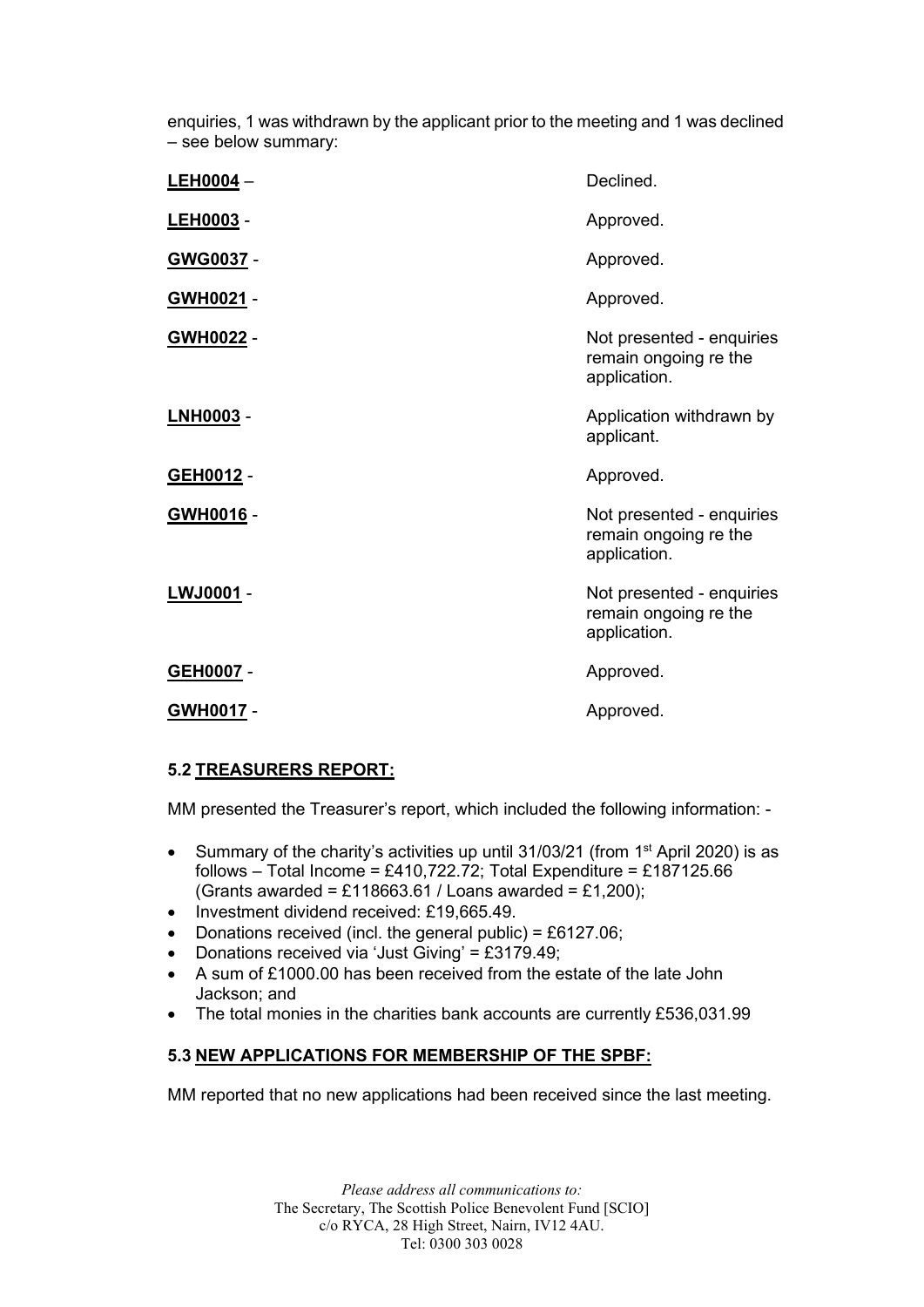enquiries, 1 was withdrawn by the applicant prior to the meeting and 1 was declined – see below summary:

| $LEH0004 -$      | Declined.                                                          |
|------------------|--------------------------------------------------------------------|
| LEH0003 -        | Approved.                                                          |
| GWG0037 -        | Approved.                                                          |
| <u>GWH0021</u> - | Approved.                                                          |
| GWH0022 -        | Not presented - enquiries<br>remain ongoing re the<br>application. |
| <b>LNH0003 -</b> | Application withdrawn by<br>applicant.                             |
| GEH0012 -        | Approved.                                                          |
| GWH0016 -        | Not presented - enquiries<br>remain ongoing re the<br>application. |
| LWJ0001 -        | Not presented - enquiries<br>remain ongoing re the<br>application. |
| GEH0007 -        | Approved.                                                          |
| GWH0017 -        | Approved.                                                          |

# **5.2 TREASURERS REPORT:**

MM presented the Treasurer's report, which included the following information: -

- Summary of the charity's activities up until 31/03/21 (from 1<sup>st</sup> April 2020) is as follows – Total Income = £410,722.72; Total Expenditure = £187125.66 (Grants awarded = £118663.61 / Loans awarded = £1,200);
- Investment dividend received: £19,665.49.
- Donations received (incl. the general public) =  $£6127.06;$
- Donations received via 'Just Giving' = £3179.49;
- A sum of £1000.00 has been received from the estate of the late John Jackson; and
- The total monies in the charities bank accounts are currently £536,031.99

# **5.3 NEW APPLICATIONS FOR MEMBERSHIP OF THE SPBF:**

MM reported that no new applications had been received since the last meeting.

*Please address all communications to:* The Secretary, The Scottish Police Benevolent Fund [SCIO] c/o RYCA, 28 High Street, Nairn, IV12 4AU. Tel: 0300 303 0028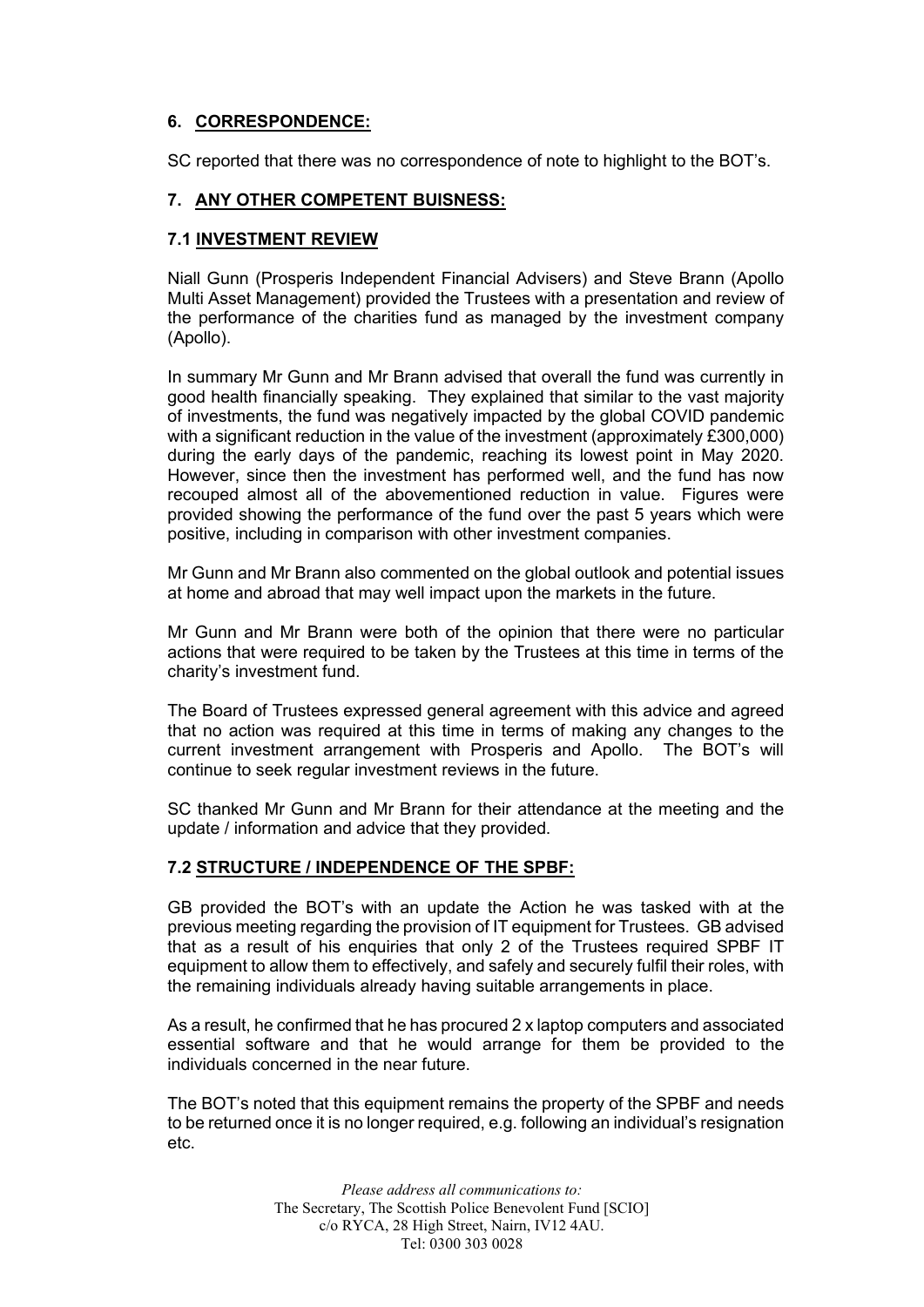# **6. CORRESPONDENCE:**

SC reported that there was no correspondence of note to highlight to the BOT's.

# **7. ANY OTHER COMPETENT BUISNESS:**

## **7.1 INVESTMENT REVIEW**

Niall Gunn (Prosperis Independent Financial Advisers) and Steve Brann (Apollo Multi Asset Management) provided the Trustees with a presentation and review of the performance of the charities fund as managed by the investment company (Apollo).

In summary Mr Gunn and Mr Brann advised that overall the fund was currently in good health financially speaking. They explained that similar to the vast majority of investments, the fund was negatively impacted by the global COVID pandemic with a significant reduction in the value of the investment (approximately £300,000) during the early days of the pandemic, reaching its lowest point in May 2020. However, since then the investment has performed well, and the fund has now recouped almost all of the abovementioned reduction in value. Figures were provided showing the performance of the fund over the past 5 years which were positive, including in comparison with other investment companies.

Mr Gunn and Mr Brann also commented on the global outlook and potential issues at home and abroad that may well impact upon the markets in the future.

Mr Gunn and Mr Brann were both of the opinion that there were no particular actions that were required to be taken by the Trustees at this time in terms of the charity's investment fund.

The Board of Trustees expressed general agreement with this advice and agreed that no action was required at this time in terms of making any changes to the current investment arrangement with Prosperis and Apollo. The BOT's will continue to seek regular investment reviews in the future.

SC thanked Mr Gunn and Mr Brann for their attendance at the meeting and the update / information and advice that they provided.

## **7.2 STRUCTURE / INDEPENDENCE OF THE SPBF:**

GB provided the BOT's with an update the Action he was tasked with at the previous meeting regarding the provision of IT equipment for Trustees. GB advised that as a result of his enquiries that only 2 of the Trustees required SPBF IT equipment to allow them to effectively, and safely and securely fulfil their roles, with the remaining individuals already having suitable arrangements in place.

As a result, he confirmed that he has procured 2 x laptop computers and associated essential software and that he would arrange for them be provided to the individuals concerned in the near future.

The BOT's noted that this equipment remains the property of the SPBF and needs to be returned once it is no longer required, e.g. following an individual's resignation etc.

> *Please address all communications to:* The Secretary, The Scottish Police Benevolent Fund [SCIO] c/o RYCA, 28 High Street, Nairn, IV12 4AU. Tel: 0300 303 0028